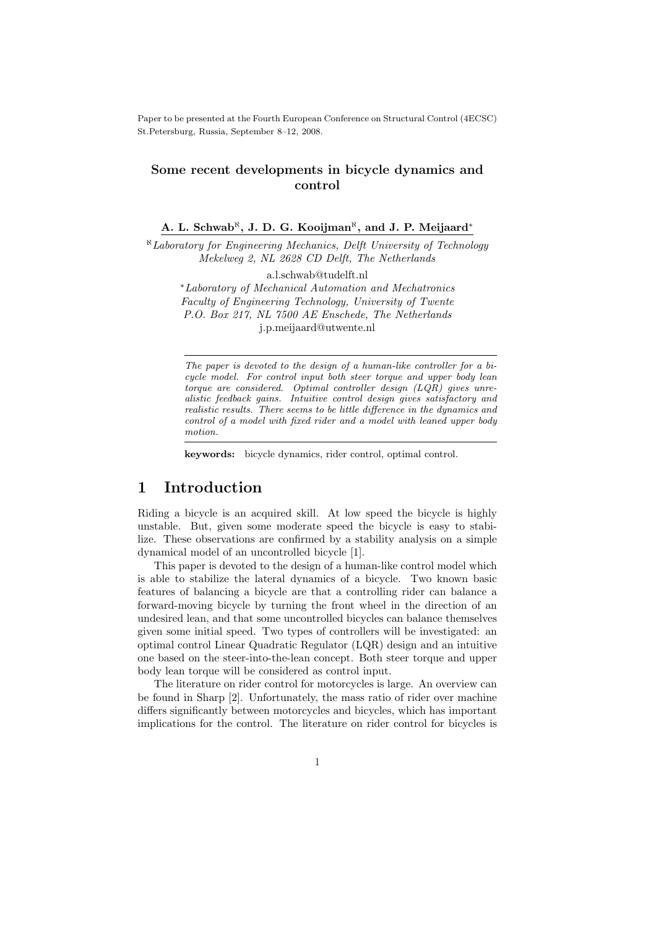Paper to be presented at the Fourth European Conference on Structural Control (4ECSC) St.Petersburg, Russia, September 8–12, 2008.

#### Some recent developments in bicycle dynamics and control

#### A. L. Schwab<sup>®</sup>, J. D. G. Kooijman<sup>®</sup>, and J. P. Meijaard<sup>\*</sup>

<sup>ℵ</sup>Laboratory for Engineering Mechanics, Delft University of Technology Mekelweg 2, NL 2628 CD Delft, The Netherlands

a.l.schwab@tudelft.nl

<sup>∗</sup>Laboratory of Mechanical Automation and Mechatronics Faculty of Engineering Technology, University of Twente P.O. Box 217, NL 7500 AE Enschede, The Netherlands j.p.meijaard@utwente.nl

The paper is devoted to the design of a human-like controller for a bicycle model. For control input both steer torque and upper body lean torque are considered. Optimal controller design (LQR) gives unrealistic feedback gains. Intuitive control design gives satisfactory and realistic results. There seems to be little difference in the dynamics and control of a model with fixed rider and a model with leaned upper body motion.

keywords: bicycle dynamics, rider control, optimal control.

### 1 Introduction

Riding a bicycle is an acquired skill. At low speed the bicycle is highly unstable. But, given some moderate speed the bicycle is easy to stabilize. These observations are confirmed by a stability analysis on a simple dynamical model of an uncontrolled bicycle [1].

This paper is devoted to the design of a human-like control model which is able to stabilize the lateral dynamics of a bicycle. Two known basic features of balancing a bicycle are that a controlling rider can balance a forward-moving bicycle by turning the front wheel in the direction of an undesired lean, and that some uncontrolled bicycles can balance themselves given some initial speed. Two types of controllers will be investigated: an optimal control Linear Quadratic Regulator (LQR) design and an intuitive one based on the steer-into-the-lean concept. Both steer torque and upper body lean torque will be considered as control input.

The literature on rider control for motorcycles is large. An overview can be found in Sharp [2]. Unfortunately, the mass ratio of rider over machine differs significantly between motorcycles and bicycles, which has important implications for the control. The literature on rider control for bicycles is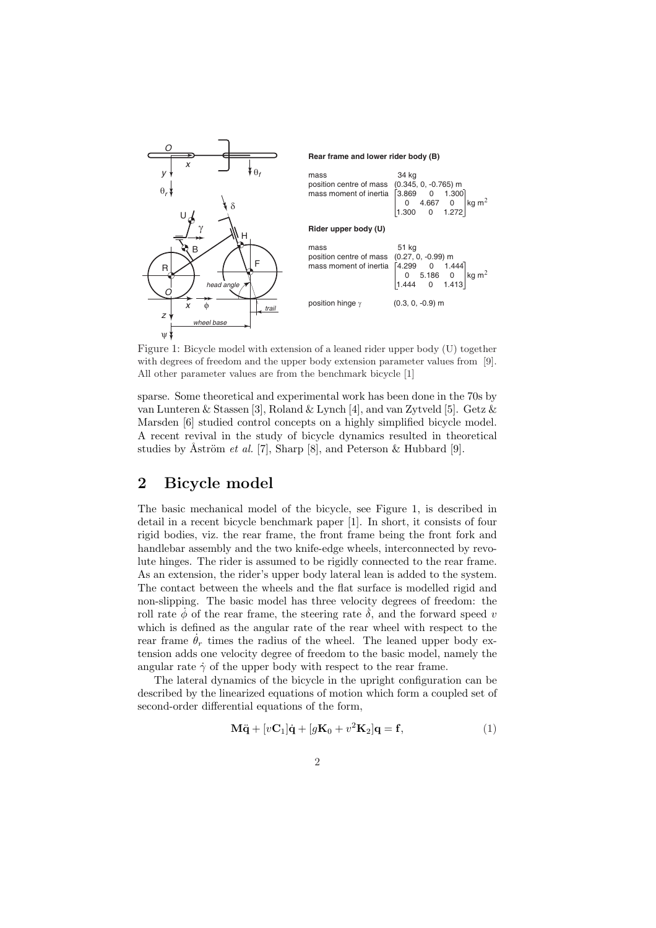

Figure 1: Bicycle model with extension of a leaned rider upper body (U) together with degrees of freedom and the upper body extension parameter values from [9]. All other parameter values are from the benchmark bicycle [1]

sparse. Some theoretical and experimental work has been done in the 70s by van Lunteren & Stassen [3], Roland & Lynch [4], and van Zytveld [5]. Getz & Marsden [6] studied control concepts on a highly simplified bicycle model. A recent revival in the study of bicycle dynamics resulted in theoretical studies by Åström *et al.* [7], Sharp [8], and Peterson & Hubbard [9].

## 2 Bicycle model

The basic mechanical model of the bicycle, see Figure 1, is described in detail in a recent bicycle benchmark paper [1]. In short, it consists of four rigid bodies, viz. the rear frame, the front frame being the front fork and handlebar assembly and the two knife-edge wheels, interconnected by revolute hinges. The rider is assumed to be rigidly connected to the rear frame. As an extension, the rider's upper body lateral lean is added to the system. The contact between the wheels and the flat surface is modelled rigid and non-slipping. The basic model has three velocity degrees of freedom: the roll rate  $\phi$  of the rear frame, the steering rate  $\delta$ , and the forward speed v which is defined as the angular rate of the rear wheel with respect to the rear frame  $\theta_r$  times the radius of the wheel. The leaned upper body extension adds one velocity degree of freedom to the basic model, namely the angular rate  $\dot{\gamma}$  of the upper body with respect to the rear frame.

The lateral dynamics of the bicycle in the upright configuration can be described by the linearized equations of motion which form a coupled set of second-order differential equations of the form,

$$
\mathbf{M}\ddot{\mathbf{q}} + [v\mathbf{C}_1]\dot{\mathbf{q}} + [g\mathbf{K}_0 + v^2\mathbf{K}_2]\mathbf{q} = \mathbf{f},\tag{1}
$$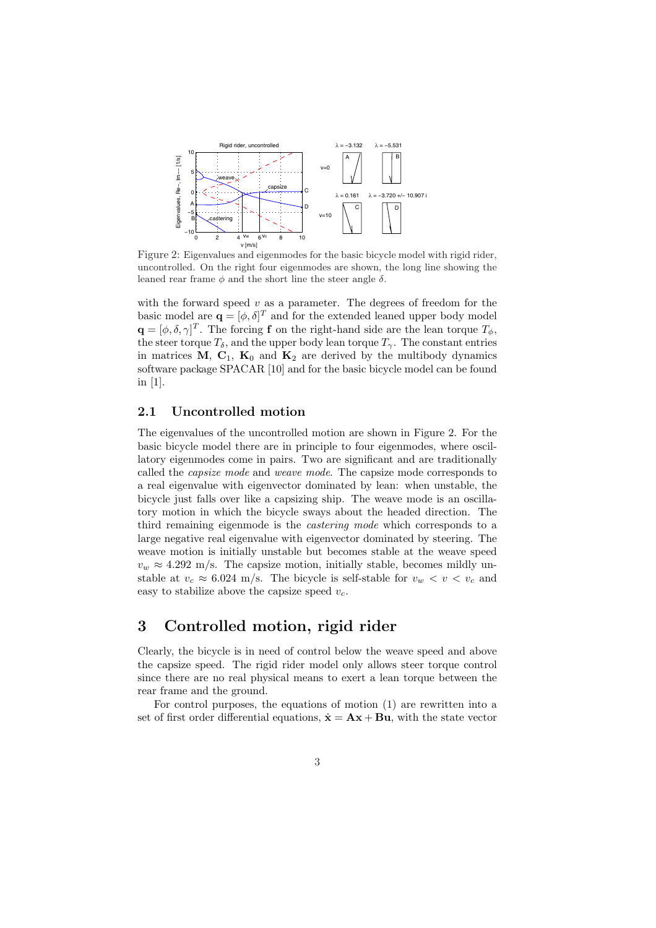

Figure 2: Eigenvalues and eigenmodes for the basic bicycle model with rigid rider, uncontrolled. On the right four eigenmodes are shown, the long line showing the leaned rear frame  $\phi$  and the short line the steer angle  $\delta$ .

with the forward speed  $v$  as a parameter. The degrees of freedom for the basic model are  $\mathbf{q} = [\phi, \delta]^T$  and for the extended leaned upper body model  $\mathbf{q} = [\phi, \delta, \gamma]^T$ . The forcing f on the right-hand side are the lean torque  $T_{\phi}$ , the steer torque  $T_{\delta}$ , and the upper body lean torque  $T_{\gamma}$ . The constant entries in matrices M,  $C_1$ ,  $K_0$  and  $K_2$  are derived by the multibody dynamics software package SPACAR [10] and for the basic bicycle model can be found in [1].

#### 2.1 Uncontrolled motion

The eigenvalues of the uncontrolled motion are shown in Figure 2. For the basic bicycle model there are in principle to four eigenmodes, where oscillatory eigenmodes come in pairs. Two are significant and are traditionally called the capsize mode and weave mode. The capsize mode corresponds to a real eigenvalue with eigenvector dominated by lean: when unstable, the bicycle just falls over like a capsizing ship. The weave mode is an oscillatory motion in which the bicycle sways about the headed direction. The third remaining eigenmode is the *castering mode* which corresponds to a large negative real eigenvalue with eigenvector dominated by steering. The weave motion is initially unstable but becomes stable at the weave speed  $v_w \approx 4.292$  m/s. The capsize motion, initially stable, becomes mildly unstable at  $v_c \approx 6.024$  m/s. The bicycle is self-stable for  $v_w < v < v_c$  and easy to stabilize above the capsize speed  $v_c$ .

## 3 Controlled motion, rigid rider

Clearly, the bicycle is in need of control below the weave speed and above the capsize speed. The rigid rider model only allows steer torque control since there are no real physical means to exert a lean torque between the rear frame and the ground.

For control purposes, the equations of motion (1) are rewritten into a set of first order differential equations,  $\dot{\mathbf{x}} = \mathbf{A}\mathbf{x} + \mathbf{B}\mathbf{u}$ , with the state vector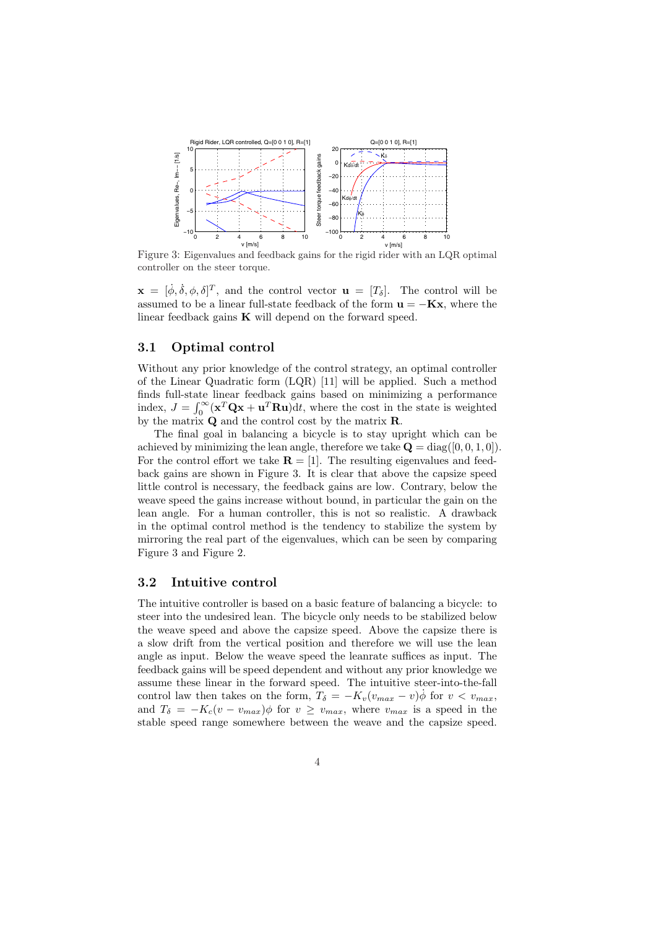

Figure 3: Eigenvalues and feedback gains for the rigid rider with an LQR optimal controller on the steer torque.

 $\mathbf{x} = [\dot{\phi}, \dot{\delta}, \phi, \delta]^T$ , and the control vector  $\mathbf{u} = [T_{\delta}]$ . The control will be assumed to be a linear full-state feedback of the form  $\mathbf{u} = -\mathbf{K}\mathbf{x}$ , where the linear feedback gains  $\bf{K}$  will depend on the forward speed.

#### 3.1 Optimal control

Without any prior knowledge of the control strategy, an optimal controller of the Linear Quadratic form (LQR) [11] will be applied. Such a method finds full-state linear feedback gains based on minimizing a performance mas run-state<br>index,  $J = \int_0^\infty$  $\int_0^\infty (\mathbf{x}^T \mathbf{Q} \mathbf{x} + \mathbf{u}^T \mathbf{R} \mathbf{u}) dt$ , where the cost in the state is weighted by the matrix Q and the control cost by the matrix R.

The final goal in balancing a bicycle is to stay upright which can be achieved by minimizing the lean angle, therefore we take  $\mathbf{Q} = \text{diag}([0, 0, 1, 0]).$ For the control effort we take  $\mathbf{R} = [1]$ . The resulting eigenvalues and feedback gains are shown in Figure 3. It is clear that above the capsize speed little control is necessary, the feedback gains are low. Contrary, below the weave speed the gains increase without bound, in particular the gain on the lean angle. For a human controller, this is not so realistic. A drawback in the optimal control method is the tendency to stabilize the system by mirroring the real part of the eigenvalues, which can be seen by comparing Figure 3 and Figure 2.

#### 3.2 Intuitive control

The intuitive controller is based on a basic feature of balancing a bicycle: to steer into the undesired lean. The bicycle only needs to be stabilized below the weave speed and above the capsize speed. Above the capsize there is a slow drift from the vertical position and therefore we will use the lean angle as input. Below the weave speed the leanrate suffices as input. The feedback gains will be speed dependent and without any prior knowledge we assume these linear in the forward speed. The intuitive steer-into-the-fall control law then takes on the form,  $T_{\delta} = -K_v(v_{max} - v)\dot{\phi}$  for  $v < v_{max}$ , and  $T_{\delta} = -K_c(v - v_{max})\phi$  for  $v \ge v_{max}$ , where  $v_{max}$  is a speed in the stable speed range somewhere between the weave and the capsize speed.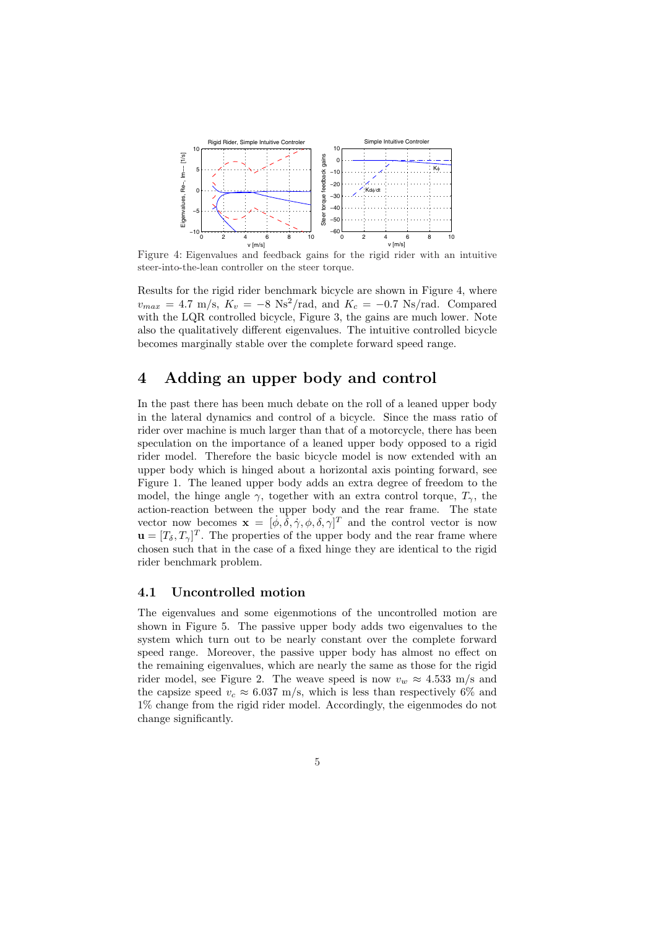

Figure 4: Eigenvalues and feedback gains for the rigid rider with an intuitive steer-into-the-lean controller on the steer torque.

Results for the rigid rider benchmark bicycle are shown in Figure 4, where  $v_{max} = 4.7 \text{ m/s}, K_v = -8 \text{ Ns}^2/\text{rad}, \text{ and } K_c = -0.7 \text{ Ns/rad}.$  Compared with the LQR controlled bicycle, Figure 3, the gains are much lower. Note also the qualitatively different eigenvalues. The intuitive controlled bicycle becomes marginally stable over the complete forward speed range.

### 4 Adding an upper body and control

In the past there has been much debate on the roll of a leaned upper body in the lateral dynamics and control of a bicycle. Since the mass ratio of rider over machine is much larger than that of a motorcycle, there has been speculation on the importance of a leaned upper body opposed to a rigid rider model. Therefore the basic bicycle model is now extended with an upper body which is hinged about a horizontal axis pointing forward, see Figure 1. The leaned upper body adds an extra degree of freedom to the model, the hinge angle  $\gamma$ , together with an extra control torque,  $T_{\gamma}$ , the action-reaction between the upper body and the rear frame. The state vector now becomes  $\mathbf{x} = [\dot{\phi}, \dot{\delta}, \dot{\gamma}, \phi, \delta, \dot{\gamma}]^T$  and the control vector is now  $\mathbf{u} = [T_{\delta}, T_{\gamma}]^{T}$ . The properties of the upper body and the rear frame where chosen such that in the case of a fixed hinge they are identical to the rigid rider benchmark problem.

#### 4.1 Uncontrolled motion

The eigenvalues and some eigenmotions of the uncontrolled motion are shown in Figure 5. The passive upper body adds two eigenvalues to the system which turn out to be nearly constant over the complete forward speed range. Moreover, the passive upper body has almost no effect on the remaining eigenvalues, which are nearly the same as those for the rigid rider model, see Figure 2. The weave speed is now  $v_w \approx 4.533$  m/s and the capsize speed  $v_c \approx 6.037$  m/s, which is less than respectively 6% and 1% change from the rigid rider model. Accordingly, the eigenmodes do not change significantly.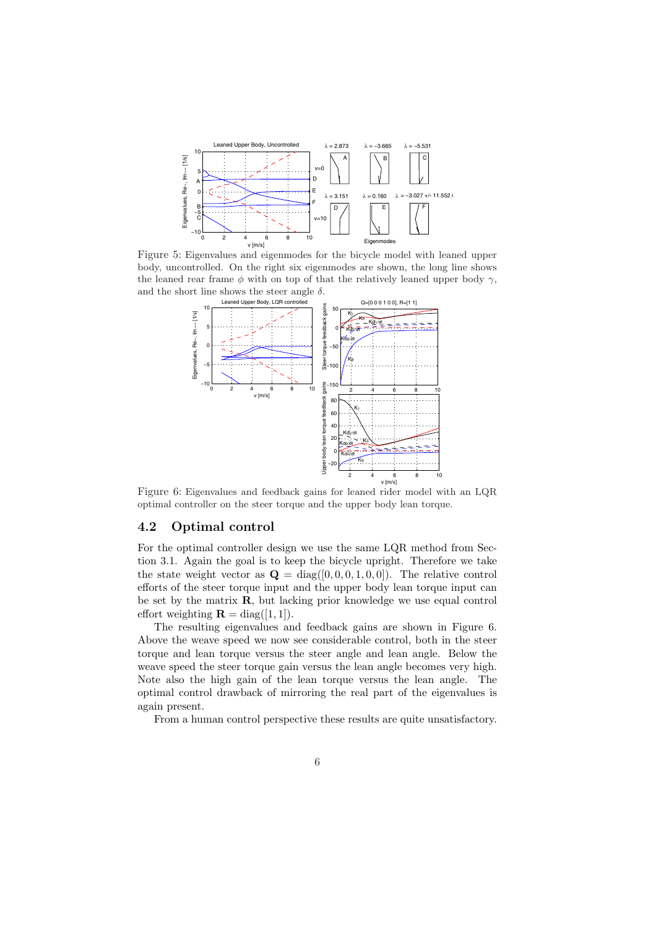

Figure 5: Eigenvalues and eigenmodes for the bicycle model with leaned upper body, uncontrolled. On the right six eigenmodes are shown, the long line shows the leaned rear frame  $\phi$  with on top of that the relatively leaned upper body  $\gamma$ , and the short line shows the steer angle  $\delta$ .



Figure 6: Eigenvalues and feedback gains for leaned rider model with an LQR optimal controller on the steer torque and the upper body lean torque.

#### 4.2 Optimal control

For the optimal controller design we use the same LQR method from Section 3.1. Again the goal is to keep the bicycle upright. Therefore we take the state weight vector as  $\mathbf{Q} = \text{diag}([0, 0, 0, 1, 0, 0])$ . The relative control efforts of the steer torque input and the upper body lean torque input can be set by the matrix R, but lacking prior knowledge we use equal control effort weighting  $\mathbf{R} = \text{diag}([1, 1]).$ 

The resulting eigenvalues and feedback gains are shown in Figure 6. Above the weave speed we now see considerable control, both in the steer torque and lean torque versus the steer angle and lean angle. Below the weave speed the steer torque gain versus the lean angle becomes very high. Note also the high gain of the lean torque versus the lean angle. The optimal control drawback of mirroring the real part of the eigenvalues is again present.

From a human control perspective these results are quite unsatisfactory.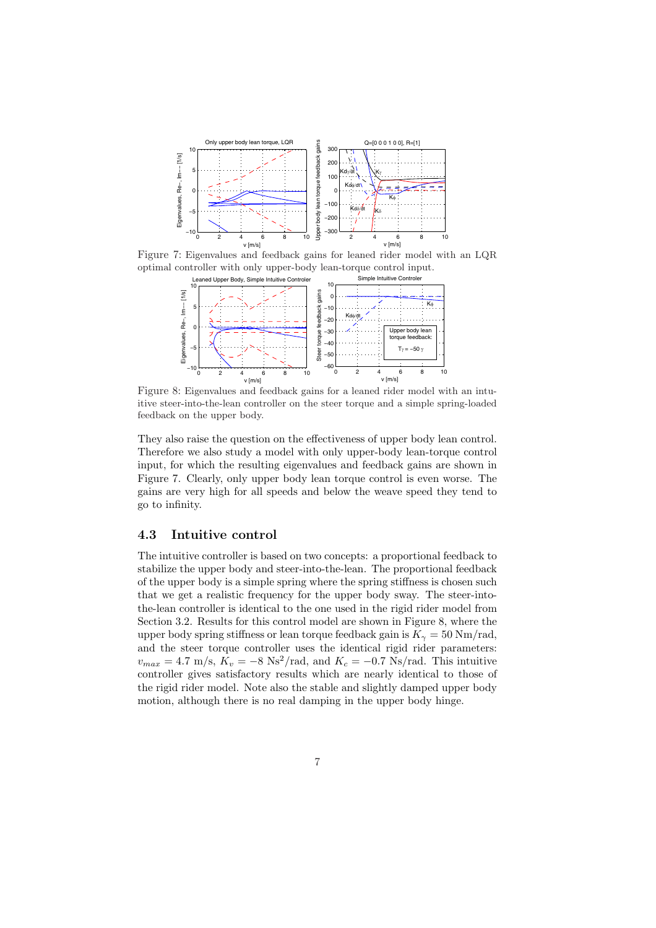

Figure 7: Eigenvalues and feedback gains for leaned rider model with an LQR optimal controller with only upper-body lean-torque control input.



Figure 8: Eigenvalues and feedback gains for a leaned rider model with an intuitive steer-into-the-lean controller on the steer torque and a simple spring-loaded feedback on the upper body.

They also raise the question on the effectiveness of upper body lean control. Therefore we also study a model with only upper-body lean-torque control input, for which the resulting eigenvalues and feedback gains are shown in Figure 7. Clearly, only upper body lean torque control is even worse. The gains are very high for all speeds and below the weave speed they tend to go to infinity.

#### 4.3 Intuitive control

The intuitive controller is based on two concepts: a proportional feedback to stabilize the upper body and steer-into-the-lean. The proportional feedback of the upper body is a simple spring where the spring stiffness is chosen such that we get a realistic frequency for the upper body sway. The steer-intothe-lean controller is identical to the one used in the rigid rider model from Section 3.2. Results for this control model are shown in Figure 8, where the upper body spring stiffness or lean torque feedback gain is  $K_{\gamma} = 50$  Nm/rad, and the steer torque controller uses the identical rigid rider parameters:  $v_{max} = 4.7 \text{ m/s}, \tilde{K_v} = -8 \text{ Ns}^2/\text{rad}, \text{ and } K_c = -0.7 \text{ Ns/rad}.$  This intuitive controller gives satisfactory results which are nearly identical to those of the rigid rider model. Note also the stable and slightly damped upper body motion, although there is no real damping in the upper body hinge.